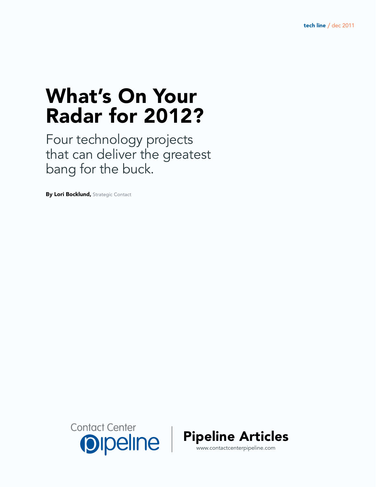# What's On Your Radar for 2012?

Four technology projects that can deliver the greatest bang for the buck.

By Lori Bocklund, Strategic Contact



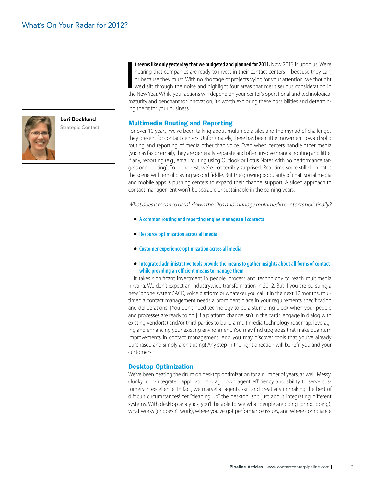Lori Bocklund Strategic Contact



**I I** seems like only yesterday that we budgeted and planned for 2011. Now 2012 is upon us. We're hearing that companies are ready to invest in their contact centers—because they can, or because they must. With no shorta or because they must. With no shortage of projects vying for your attention, we thought we'd sift through the noise and highlight four areas that merit serious consideration in maturity and penchant for innovation, it's worth exploring these possibilities and determining the fit for your business.

**t seems like only yesterday that we budgeted and planned for 2011.** Now 2012 is upon us. We're hearing that companies are ready to invest in their contact centers—because they can,

#### Multimedia Routing and Reporting

For over 10 years, we've been talking about multimedia silos and the myriad of challenges they present for contact centers. Unfortunately, there has been little movement toward solid routing and reporting of media other than voice. Even when centers handle other media (such as fax or email), they are generally separate and often involve manual routing and little, if any, reporting (e.g., email routing using Outlook or Lotus Notes with no performance targets or reporting). To be honest, we're not terribly surprised. Real-time voice still dominates the scene with email playing second fiddle. But the growing popularity of chat, social media and mobile apps is pushing centers to expand their channel support. A siloed approach to contact management won't be scalable or sustainable in the coming years.

*What does it mean to break down the silos and manage multimedia contacts holistically?*

- **A common routing and reporting engine manages all contacts**
- **Resource optimization across all media**
- **Customer experience optimization across all media**
- **Integrated administrative tools provide the means to gather insights about all forms of contact while providing an efficient means to manage them**

It takes significant investment in people, process and technology to reach multimedia nirvana. We don't expect an industrywide transformation in 2012. But if you are pursuing a new "phone system," ACD, voice platform or whatever you call it in the next 12 months, multimedia contact management needs a prominent place in your requirements specification and deliberations. [You don't need technology to be a stumbling block when your people and processes are ready to go!] If a platform change isn't in the cards, engage in dialog with existing vendor(s) and/or third parties to build a multimedia technology roadmap, leveraging and enhancing your existing environment. You may find upgrades that make quantum improvements in contact management. And you may discover tools that you've already purchased and simply aren't using! Any step in the right direction will benefit you and your customers.

#### Desktop Optimization

We've been beating the drum on desktop optimization for a number of years, as well. Messy, clunky, non-integrated applications drag down agent efficiency and ability to serve customers in excellence. In fact, we marvel at agents' skill and creativity in making the best of difficult circumstances! Yet "cleaning up" the desktop isn't just about integrating different systems. With desktop analytics, you'll be able to see what people are doing (or not doing), what works (or doesn't work), where you've got performance issues, and where compliance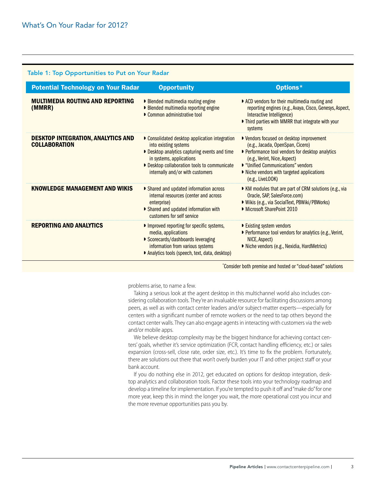### Table 1: Top Opportunities to Put on Your Radar

| <b>Potential Technology on Your Radar</b>                         | <b>Opportunity</b>                                                                                                                                                                                                                   | Options*                                                                                                                                                                                                                                                                 |
|-------------------------------------------------------------------|--------------------------------------------------------------------------------------------------------------------------------------------------------------------------------------------------------------------------------------|--------------------------------------------------------------------------------------------------------------------------------------------------------------------------------------------------------------------------------------------------------------------------|
| <b>MULTIMEDIA ROUTING AND REPORTING</b><br>(MMRR)                 | ■ Blended multimedia routing engine<br><b>Blended multimedia reporting engine</b><br>Common administrative tool                                                                                                                      | ▶ ACD vendors for their multimedia routing and<br>reporting engines (e.g., Avaya, Cisco, Genesys, Aspect,<br>Interactive Intelligence)<br>Inird parties with MMRR that integrate with your<br>systems                                                                    |
| <b>DESKTOP INTEGRATION, ANALYTICS AND</b><br><b>COLLABORATION</b> | • Consolidated desktop application integration<br>into existing systems<br>Desktop analytics capturing events and time<br>in systems, applications<br>Desktop collaboration tools to communicate<br>internally and/or with customers | ▶ Vendors focused on desktop improvement<br>(e.g., Jacada, OpenSpan, Cicero)<br>▶ Performance tool vendors for desktop analytics<br>(e.g., Verint, Nice, Aspect)<br>■ "Unified Communications" vendors<br>▶ Niche vendors with targeted applications<br>(e.g., LiveLOOK) |
| <b>KNOWLEDGE MANAGEMENT AND WIKIS</b>                             | • Shared and updated information across<br>internal resources (center and across)<br>enterprise)<br>Shared and updated information with<br>customers for self service                                                                | • KM modules that are part of CRM solutions (e.g., via<br>Oracle, SAP, SalesForce.com)<br>▶ Wikis (e.g., via SocialText, PBWiki/PBWorks)<br>• Microsoft SharePoint 2010                                                                                                  |
| <b>REPORTING AND ANALYTICS</b>                                    | Improved reporting for specific systems,<br>media, applications<br>Scorecards/dashboards leveraging<br>information from various systems<br>Analytics tools (speech, text, data, desktop)                                             | ▶ Existing system vendors<br>▶ Performance tool vendors for analytics (e.g., Verint,<br>NICE, Aspect)<br>Niche vendors (e.g., Nexidia, HardMetrics)                                                                                                                      |

\* Consider both premise and hosted or "cloud-based" solutions

problems arise, to name a few.

Taking a serious look at the agent desktop in this multichannel world also includes considering collaboration tools. They're an invaluable resource for facilitating discussions among peers, as well as with contact center leaders and/or subject-matter experts—especially for centers with a significant number of remote workers or the need to tap others beyond the contact center walls. They can also engage agents in interacting with customers via the web and/or mobile apps.

We believe desktop complexity may be the biggest hindrance for achieving contact centers' goals, whether it's service optimization (FCR, contact handling efficiency, etc.) or sales expansion (cross-sell, close rate, order size, etc.). It's time to fix the problem. Fortunately, there are solutions out there that won't overly burden your IT and other project staff or your bank account.

If you do nothing else in 2012, get educated on options for desktop integration, desktop analytics and collaboration tools. Factor these tools into your technology roadmap and develop a timeline for implementation. If you're tempted to push it off and "make do" for one more year, keep this in mind: the longer you wait, the more operational cost you incur and the more revenue opportunities pass you by.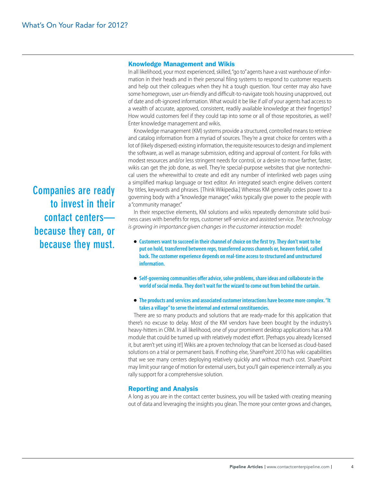#### Knowledge Management and Wikis

In all likelihood, your most experienced, skilled, "go to" agents have a vast warehouse of information in their heads and in their personal filing systems to respond to customer requests and help out their colleagues when they hit a tough question. Your center may also have some homegrown, user *un*-friendly and difficult-to-navigate tools housing unapproved, out of date and oft-ignored information. What would it be like if *all* of your agents had access to a wealth of accurate, approved, consistent, readily available knowledge at their fingertips? How would customers feel if they could tap into some or all of those repositories, as well? Enter knowledge management and wikis.

Knowledge management (KM) systems provide a structured, controlled means to retrieve and catalog information from a myriad of sources. They're a great choice for centers with a lot of (likely dispersed) existing information, the requisite resources to design and implement the software, as well as manage submission, editing and approval of content. For folks with modest resources and/or less stringent needs for control, or a desire to move farther, faster, wikis can get the job done, as well. They're special-purpose websites that give nontechnical users the wherewithal to create and edit any number of interlinked web pages using a simplified markup language or text editor. An integrated search engine delivers content by titles, keywords and phrases. [Think Wikipedia.] Whereas KM generally cedes power to a governing body with a "knowledge manager," wikis typically give power to the people with a "community manager."

In their respective elements, KM solutions and wikis repeatedly demonstrate solid business cases with benefits for reps, customer self-service and assisted service. *The technology is growing in importance given changes in the customer interaction model:*

- **Customers want to succeed in their channel of choice on the first try. They don't want to be put on hold, transferred between reps, transferred across channels or, heaven forbid, called back. The customer experience depends on real-time access to structured and unstructured information.**
- Self-governing communities offer advice, solve problems, share ideas and collaborate in the **world of social media. They don't wait for the wizard to come out from behind the curtain.**
- **The products and services and associated customer interactions have become more complex. "It takes a village" to serve the internal and external constituencies.**

There are so many products and solutions that are ready-made for this application that there's no excuse to delay. Most of the KM vendors have been bought by the industry's heavy-hitters in CRM. In all likelihood, one of your prominent desktop applications has a KM module that could be turned up with relatively modest effort. [Perhaps you already licensed it, but aren't yet using it!] Wikis are a proven technology that can be licensed as cloud-based solutions on a trial or permanent basis. If nothing else, SharePoint 2010 has wiki capabilities that we see many centers deploying relatively quickly and without much cost. SharePoint may limit your range of motion for external users, but you'll gain experience internally as you rally support for a comprehensive solution.

#### Reporting and Analysis

A long as you are in the contact center business, you will be tasked with creating meaning out of data and leveraging the insights you glean. The more your center grows and changes,

**Companies are ready to invest in their contact centers because they can, or because they must.**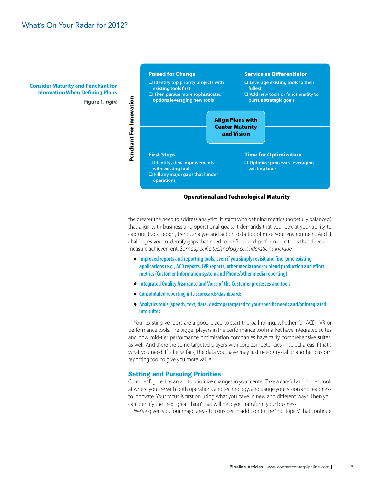**Consider Maturity and Penchant for Innovation When Defining Plans**

**Figure 1,** *right*



#### Operational and Technological Maturity

the greater the need to address analytics. It starts with defining metrics (hopefully balanced) that align with business and operational goals. It demands that you look at your ability to capture, track, report, trend, analyze and act on data to optimize your environment. And it challenges you to identify gaps that need to be filled and performance tools that drive and measure achievement. *Some specific technology considerations include:*

- **Improved reports and reporting tools, even if you simply revisit and fine-tune existing applications (e.g., ACD reports, IVR reports, other media) and/or blend production and effort metrics (Customer Information system and Phone/other media reporting)**
- **Integrated Quality Assurance and Voice of the Customer processes and tools**
- **Consolidated reporting into scorecards/dashboards**
- **Analytics tools (speech, text, data, desktop) targeted to your specific needs and/or integrated into suites**

Your existing vendors are a good place to start the ball rolling, whether for ACD, IVR or performance tools. The bigger players in the performance tool market have integrated suites and now mid-tier performance optimization companies have fairly comprehensive suites, as well. And there are some targeted players with core competencies in select areas if that's what you need. If all else fails, the data you have may just need Crystal or another custom reporting tool to give you more value.

## Setting and Pursuing Priorities

Consider Figure 1 as an aid to prioritize changes in your center. Take a careful and honest look at where you are with both operations and technology, and gauge your vision and readiness to innovate. Your focus is first on using what you have in new and different ways. Then you can identify the "next great thing" that will help you transform your business.

We've given you four major areas to consider in addition to the "hot topics" that continue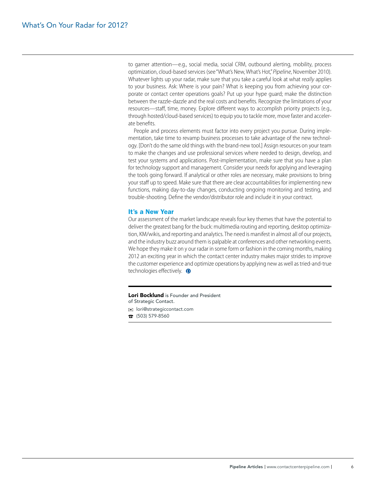to garner attention—e.g., social media, social CRM, outbound alerting, mobility, process optimization, cloud-based services (see "What's New, What's Hot," *Pipeline*, November 2010). Whatever lights up your radar, make sure that you take a careful look at what *really* applies to your business. Ask: Where is your pain? What is keeping you from achieving your corporate or contact center operations goals? Put up your hype guard; make the distinction between the razzle-dazzle and the real costs and benefits. Recognize the limitations of your resources—staff, time, money. Explore different ways to accomplish priority projects (e.g., through hosted/cloud-based services) to equip you to tackle more, move faster and accelerate benefits.

People and process elements must factor into every project you pursue. During implementation, take time to revamp business processes to take advantage of the new technology. [Don't do the same old things with the brand-new tool.] Assign resources on your team to make the changes and use professional services where needed to design, develop, and test your systems and applications. Post-implementation, make sure that you have a plan for technology support and management. Consider your needs for applying and leveraging the tools going forward. If analytical or other roles are necessary, make provisions to bring your staff up to speed. Make sure that there are clear accountabilities for implementing new functions, making day-to-day changes, conducting ongoing monitoring and testing, and trouble-shooting. Define the vendor/distributor role and include it in your contract.

#### It's a New Year

Our assessment of the market landscape reveals four key themes that have the potential to deliver the greatest bang for the buck: multimedia routing and reporting, desktop optimization, KM/wikis, and reporting and analytics. The need is manifest in almost all of our projects, and the industry buzz around them is palpable at conferences and other networking events. We hope they make it on y our radar in some form or fashion in the coming months, making 2012 an exciting year in which the contact center industry makes major strides to improve the customer experience and optimize operations by applying new as well as tried-and-true technologies effectively.  $\bullet$ 

Lori Bocklund is Founder and President of Strategic Contact.

- lori@strategiccontact.com
- $\hat{B}$  (503) 579-8560